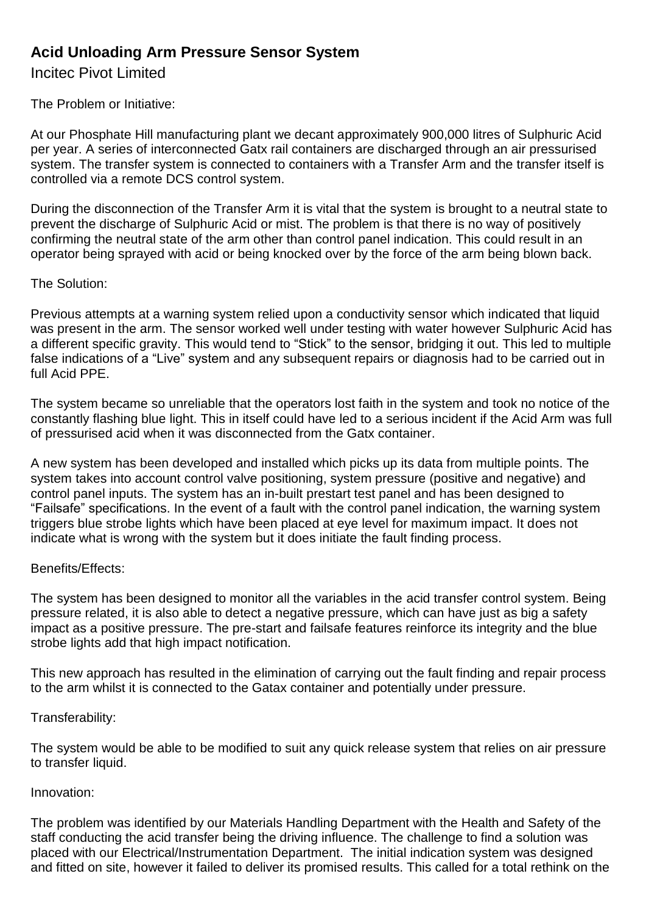# **Acid Unloading Arm Pressure Sensor System**

Incitec Pivot Limited

The Problem or Initiative:

At our Phosphate Hill manufacturing plant we decant approximately 900,000 litres of Sulphuric Acid per year. A series of interconnected Gatx rail containers are discharged through an air pressurised system. The transfer system is connected to containers with a Transfer Arm and the transfer itself is controlled via a remote DCS control system.

During the disconnection of the Transfer Arm it is vital that the system is brought to a neutral state to prevent the discharge of Sulphuric Acid or mist. The problem is that there is no way of positively confirming the neutral state of the arm other than control panel indication. This could result in an operator being sprayed with acid or being knocked over by the force of the arm being blown back.

### The Solution:

Previous attempts at a warning system relied upon a conductivity sensor which indicated that liquid was present in the arm. The sensor worked well under testing with water however Sulphuric Acid has a different specific gravity. This would tend to "Stick" to the sensor, bridging it out. This led to multiple false indications of a "Live" system and any subsequent repairs or diagnosis had to be carried out in full Acid PPE.

The system became so unreliable that the operators lost faith in the system and took no notice of the constantly flashing blue light. This in itself could have led to a serious incident if the Acid Arm was full of pressurised acid when it was disconnected from the Gatx container.

A new system has been developed and installed which picks up its data from multiple points. The system takes into account control valve positioning, system pressure (positive and negative) and control panel inputs. The system has an in-built prestart test panel and has been designed to "Failsafe" specifications. In the event of a fault with the control panel indication, the warning system triggers blue strobe lights which have been placed at eye level for maximum impact. It does not indicate what is wrong with the system but it does initiate the fault finding process.

#### Benefits/Effects:

The system has been designed to monitor all the variables in the acid transfer control system. Being pressure related, it is also able to detect a negative pressure, which can have just as big a safety impact as a positive pressure. The pre-start and failsafe features reinforce its integrity and the blue strobe lights add that high impact notification.

This new approach has resulted in the elimination of carrying out the fault finding and repair process to the arm whilst it is connected to the Gatax container and potentially under pressure.

## Transferability:

The system would be able to be modified to suit any quick release system that relies on air pressure to transfer liquid.

#### Innovation:

The problem was identified by our Materials Handling Department with the Health and Safety of the staff conducting the acid transfer being the driving influence. The challenge to find a solution was placed with our Electrical/Instrumentation Department. The initial indication system was designed and fitted on site, however it failed to deliver its promised results. This called for a total rethink on the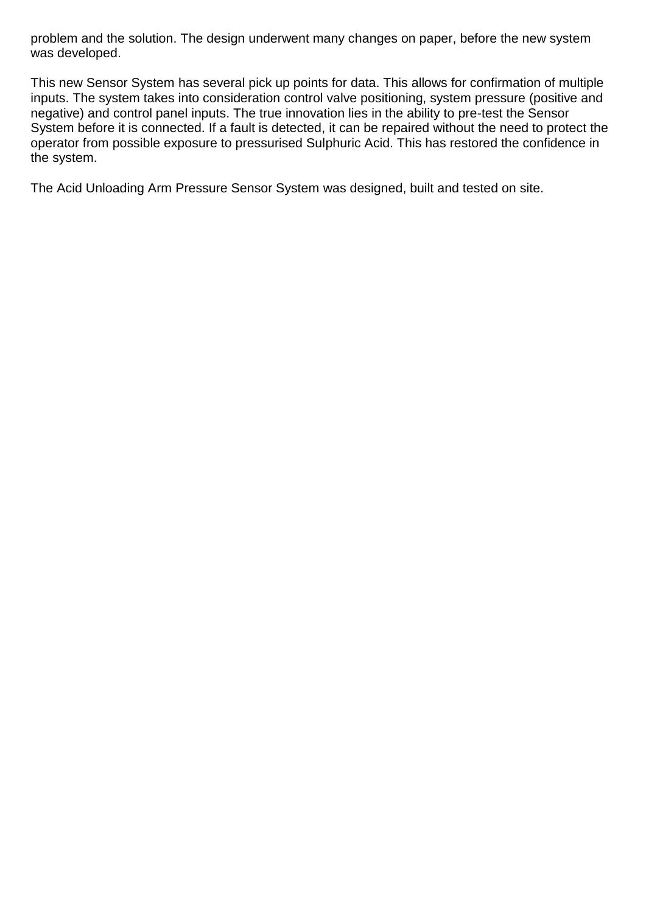problem and the solution. The design underwent many changes on paper, before the new system was developed.

This new Sensor System has several pick up points for data. This allows for confirmation of multiple inputs. The system takes into consideration control valve positioning, system pressure (positive and negative) and control panel inputs. The true innovation lies in the ability to pre-test the Sensor System before it is connected. If a fault is detected, it can be repaired without the need to protect the operator from possible exposure to pressurised Sulphuric Acid. This has restored the confidence in the system.

The Acid Unloading Arm Pressure Sensor System was designed, built and tested on site.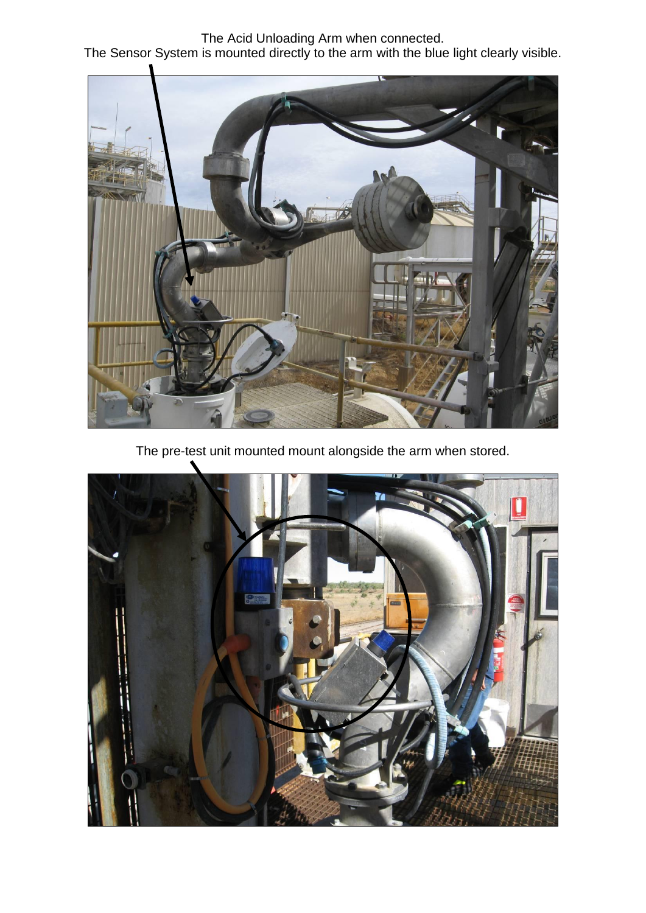The Acid Unloading Arm when connected. The Sensor System is mounted directly to the arm with the blue light clearly visible.



The pre-test unit mounted mount alongside the arm when stored.